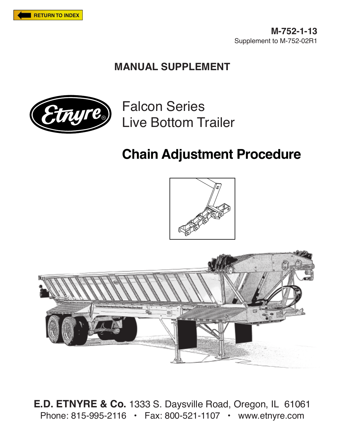

**M-752-1-13** Supplement to M-752-02R1

## **MANUAL SUPPLEMENT**



Falcon Series Live Bottom Trailer

## **Chain Adjustment Procedure**





**E.D. ETNYRE & Co.** 1333 S. Daysville Road, Oregon, IL 61061 Phone: 815-995-2116 • Fax: 800-521-1107 • www.etnyre.com